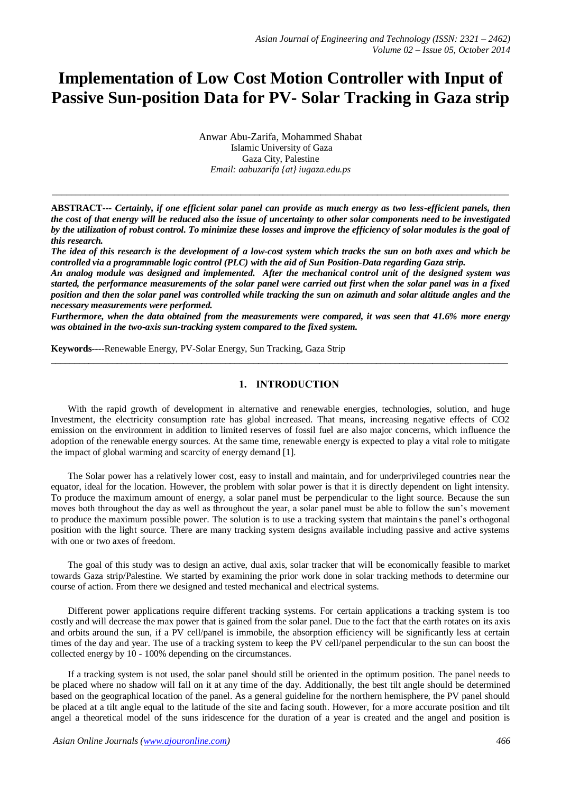# **Implementation of Low Cost Motion Controller with Input of Passive Sun-position Data for PV- Solar Tracking in Gaza strip**

Anwar Abu-Zarifa, Mohammed Shabat Islamic University of Gaza Gaza City, Palestine *Email: aabuzarifa {at} iugaza.edu.ps*

**ABSTRACT---** *Certainly, if one efficient solar panel can provide as much energy as two less-efficient panels, then the cost of that energy will be reduced also the issue of uncertainty to other solar components need to be investigated by the utilization of robust control. To minimize these losses and improve the efficiency of solar modules is the goal of this research.*

*\_\_\_\_\_\_\_\_\_\_\_\_\_\_\_\_\_\_\_\_\_\_\_\_\_\_\_\_\_\_\_\_\_\_\_\_\_\_\_\_\_\_\_\_\_\_\_\_\_\_\_\_\_\_\_\_\_\_\_\_\_\_\_\_\_\_\_\_\_\_\_\_\_\_\_\_\_\_\_\_\_\_\_\_\_\_\_\_\_\_\_\_\_\_\_\_\_*

*The idea of this research is the development of a low-cost system which tracks the sun on both axes and which be controlled via a programmable logic control (PLC) with the aid of Sun Position-Data regarding Gaza strip.* 

*An analog module was designed and implemented. After the mechanical control unit of the designed system was started, the performance measurements of the solar panel were carried out first when the solar panel was in a fixed position and then the solar panel was controlled while tracking the sun on azimuth and solar altitude angles and the necessary measurements were performed.* 

*Furthermore, when the data obtained from the measurements were compared, it was seen that 41.6% more energy was obtained in the two-axis sun-tracking system compared to the fixed system.*

 $\_$  ,  $\_$  ,  $\_$  ,  $\_$  ,  $\_$  ,  $\_$  ,  $\_$  ,  $\_$  ,  $\_$  ,  $\_$  ,  $\_$  ,  $\_$  ,  $\_$  ,  $\_$  ,  $\_$  ,  $\_$  ,  $\_$  ,  $\_$  ,  $\_$  ,  $\_$  ,  $\_$  ,  $\_$  ,  $\_$  ,  $\_$  ,  $\_$  ,  $\_$  ,  $\_$  ,  $\_$  ,  $\_$  ,  $\_$  ,  $\_$  ,  $\_$  ,  $\_$  ,  $\_$  ,  $\_$  ,  $\_$  ,  $\_$  ,

**Keywords----**Renewable Energy, PV-Solar Energy, Sun Tracking, Gaza Strip

# **1. INTRODUCTION**

With the rapid growth of development in alternative and renewable energies, technologies, solution, and huge Investment, the electricity consumption rate has global increased. That means, increasing negative effects of CO2 emission on the environment in addition to limited reserves of fossil fuel are also major concerns, which influence the adoption of the renewable energy sources. At the same time, renewable energy is expected to play a vital role to mitigate the impact of global warming and scarcity of energy demand [1].

The Solar power has a relatively lower cost, easy to install and maintain, and for underprivileged countries near the equator, ideal for the location. However, the problem with solar power is that it is directly dependent on light intensity. To produce the maximum amount of energy, a solar panel must be perpendicular to the light source. Because the sun moves both throughout the day as well as throughout the year, a solar panel must be able to follow the sun's movement to produce the maximum possible power. The solution is to use a tracking system that maintains the panel's orthogonal position with the light source. There are many tracking system designs available including passive and active systems with one or two axes of freedom.

The goal of this study was to design an active, dual axis, solar tracker that will be economically feasible to market towards Gaza strip/Palestine. We started by examining the prior work done in solar tracking methods to determine our course of action. From there we designed and tested mechanical and electrical systems.

Different power applications require different tracking systems. For certain applications a tracking system is too costly and will decrease the max power that is gained from the solar panel. Due to the fact that the earth rotates on its axis and orbits around the sun, if a PV cell/panel is immobile, the absorption efficiency will be significantly less at certain times of the day and year. The use of a tracking system to keep the PV cell/panel perpendicular to the sun can boost the collected energy by 10 - 100% depending on the circumstances.

If a tracking system is not used, the solar panel should still be oriented in the optimum position. The panel needs to be placed where no shadow will fall on it at any time of the day. Additionally, the best tilt angle should be determined based on the geographical location of the panel. As a general guideline for the northern hemisphere, the PV panel should be placed at a tilt angle equal to the latitude of the site and facing south. However, for a more accurate position and tilt angel a theoretical model of the suns iridescence for the duration of a year is created and the angel and position is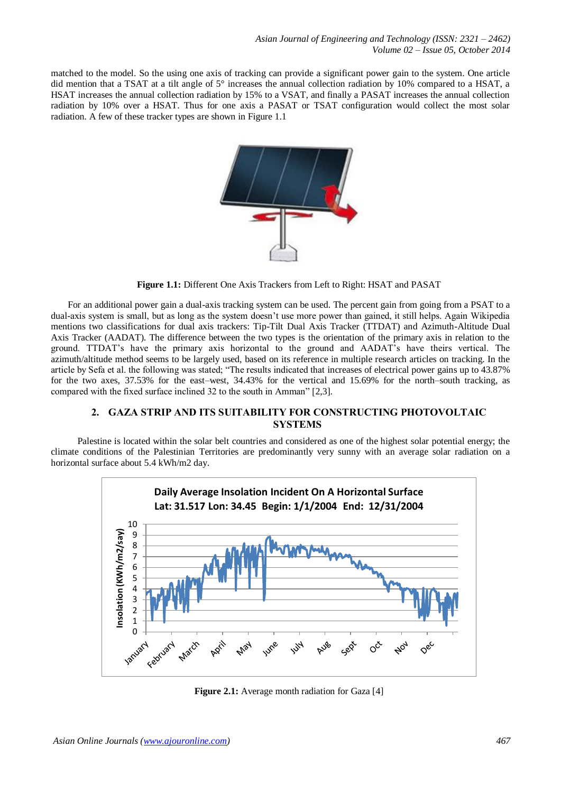matched to the model. So the using one axis of tracking can provide a significant power gain to the system. One article did mention that a TSAT at a tilt angle of 5° increases the annual collection radiation by 10% compared to a HSAT, a HSAT increases the annual collection radiation by 15% to a VSAT, and finally a PASAT increases the annual collection radiation by 10% over a HSAT. Thus for one axis a PASAT or TSAT configuration would collect the most solar radiation. A few of these tracker types are shown in Figure 1.1



**Figure 1.1:** Different One Axis Trackers from Left to Right: HSAT and PASAT

For an additional power gain a dual-axis tracking system can be used. The percent gain from going from a PSAT to a dual-axis system is small, but as long as the system doesn't use more power than gained, it still helps. Again Wikipedia mentions two classifications for dual axis trackers: Tip-Tilt Dual Axis Tracker (TTDAT) and Azimuth-Altitude Dual Axis Tracker (AADAT). The difference between the two types is the orientation of the primary axis in relation to the ground. TTDAT's have the primary axis horizontal to the ground and AADAT's have theirs vertical. The azimuth/altitude method seems to be largely used, based on its reference in multiple research articles on tracking. In the article by Sefa et al. the following was stated; "The results indicated that increases of electrical power gains up to 43.87% for the two axes, 37.53% for the east–west, 34.43% for the vertical and 15.69% for the north–south tracking, as compared with the fixed surface inclined 32 to the south in Amman" [2,3].

# **2. GAZA STRIP AND ITS SUITABILITY FOR CONSTRUCTING PHOTOVOLTAIC SYSTEMS**

 Palestine is located within the solar belt countries and considered as one of the highest solar potential energy; the climate conditions of the Palestinian Territories are predominantly very sunny with an average solar radiation on a horizontal surface about 5.4 kWh/m2 day.



**Figure 2.1:** Average month radiation for Gaza [4]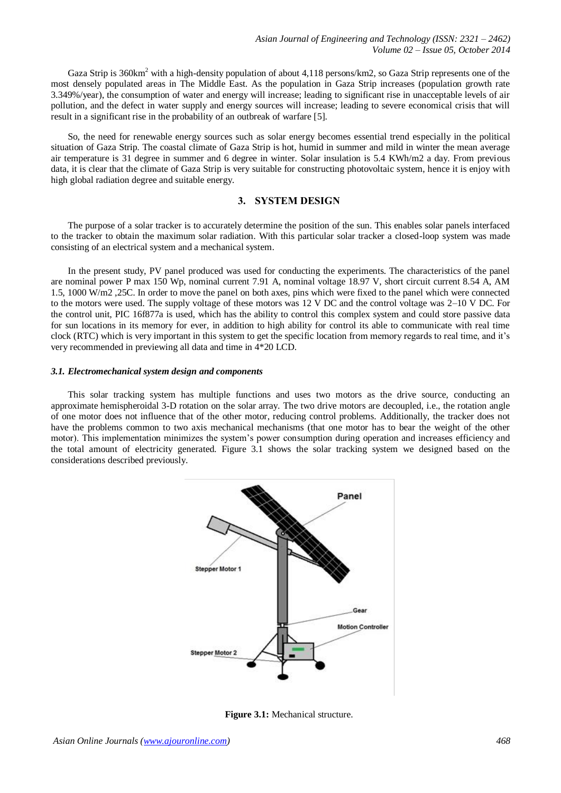Gaza Strip is 360km<sup>2</sup> with a high-density population of about 4,118 persons/km2, so Gaza Strip represents one of the most densely populated areas in The Middle East. As the population in Gaza Strip increases (population growth rate 3.349%/year), the consumption of water and energy will increase; leading to significant rise in unacceptable levels of air pollution, and the defect in water supply and energy sources will increase; leading to severe economical crisis that will result in a significant rise in the probability of an outbreak of warfare [5].

So, the need for renewable energy sources such as solar energy becomes essential trend especially in the political situation of Gaza Strip. The coastal climate of Gaza Strip is hot, humid in summer and mild in winter the mean average air temperature is 31 degree in summer and 6 degree in winter. Solar insulation is 5.4 KWh/m2 a day. From previous data, it is clear that the climate of Gaza Strip is very suitable for constructing photovoltaic system, hence it is enjoy with high global radiation degree and suitable energy.

# **3. SYSTEM DESIGN**

The purpose of a solar tracker is to accurately determine the position of the sun. This enables solar panels interfaced to the tracker to obtain the maximum solar radiation. With this particular solar tracker a closed-loop system was made consisting of an electrical system and a mechanical system.

In the present study, PV panel produced was used for conducting the experiments. The characteristics of the panel are nominal power P max 150 Wp, nominal current 7.91 A, nominal voltage 18.97 V, short circuit current 8.54 A, AM 1.5, 1000 W/m2 ,25C. In order to move the panel on both axes, pins which were fixed to the panel which were connected to the motors were used. The supply voltage of these motors was 12 V DC and the control voltage was 2–10 V DC. For the control unit, PIC 16f877a is used, which has the ability to control this complex system and could store passive data for sun locations in its memory for ever, in addition to high ability for control its able to communicate with real time clock (RTC) which is very important in this system to get the specific location from memory regards to real time, and it's very recommended in previewing all data and time in 4\*20 LCD.

#### *3.1. Electromechanical system design and components*

This solar tracking system has multiple functions and uses two motors as the drive source, conducting an approximate hemispheroidal 3-D rotation on the solar array. The two drive motors are decoupled, i.e., the rotation angle of one motor does not influence that of the other motor, reducing control problems. Additionally, the tracker does not have the problems common to two axis mechanical mechanisms (that one motor has to bear the weight of the other motor). This implementation minimizes the system's power consumption during operation and increases efficiency and the total amount of electricity generated. Figure 3.1 shows the solar tracking system we designed based on the considerations described previously.



**Figure 3.1:** Mechanical structure.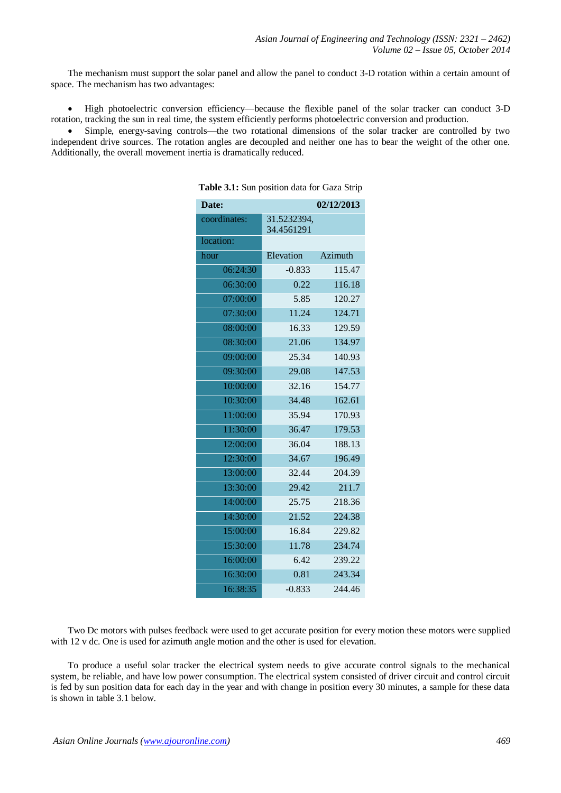The mechanism must support the solar panel and allow the panel to conduct 3-D rotation within a certain amount of space. The mechanism has two advantages:

 High photoelectric conversion efficiency—because the flexible panel of the solar tracker can conduct 3-D rotation, tracking the sun in real time, the system efficiently performs photoelectric conversion and production.

 Simple, energy-saving controls—the two rotational dimensions of the solar tracker are controlled by two independent drive sources. The rotation angles are decoupled and neither one has to bear the weight of the other one. Additionally, the overall movement inertia is dramatically reduced.

|             | 02/12/2013                                                                              |
|-------------|-----------------------------------------------------------------------------------------|
| 31.5232394, |                                                                                         |
|             |                                                                                         |
|             | Azimuth                                                                                 |
|             |                                                                                         |
|             | 115.47                                                                                  |
|             | 116.18                                                                                  |
|             | 120.27                                                                                  |
|             | 124.71                                                                                  |
|             | 129.59                                                                                  |
|             | 134.97                                                                                  |
|             | 140.93                                                                                  |
| 29.08       | 147.53                                                                                  |
| 32.16       | 154.77                                                                                  |
| 34.48       | 162.61                                                                                  |
| 35.94       | 170.93                                                                                  |
| 36.47       | 179.53                                                                                  |
| 36.04       | 188.13                                                                                  |
| 34.67       | 196.49                                                                                  |
| 32.44       | 204.39                                                                                  |
| 29.42       | 211.7                                                                                   |
| 25.75       | 218.36                                                                                  |
| 21.52       | 224.38                                                                                  |
| 16.84       | 229.82                                                                                  |
| 11.78       | 234.74                                                                                  |
| 6.42        | 239.22                                                                                  |
| 0.81        | 243.34                                                                                  |
| $-0.833$    | 244.46                                                                                  |
|             | 34.4561291<br>Elevation<br>$-0.833$<br>0.22<br>5.85<br>11.24<br>16.33<br>21.06<br>25.34 |

**Table 3.1:** Sun position data for Gaza Strip

Two Dc motors with pulses feedback were used to get accurate position for every motion these motors were supplied with 12 v dc. One is used for azimuth angle motion and the other is used for elevation.

To produce a useful solar tracker the electrical system needs to give accurate control signals to the mechanical system, be reliable, and have low power consumption. The electrical system consisted of driver circuit and control circuit is fed by sun position data for each day in the year and with change in position every 30 minutes, a sample for these data is shown in table 3.1 below.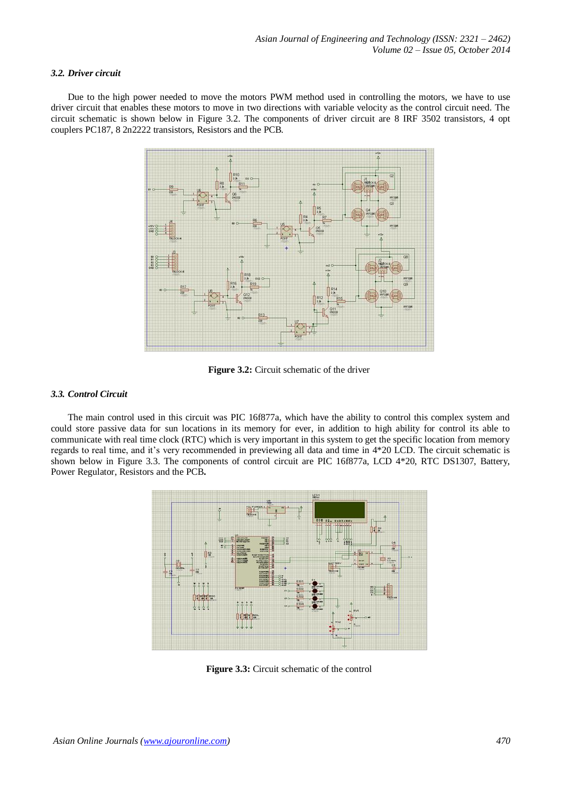### *3.2. Driver circuit*

Due to the high power needed to move the motors PWM method used in controlling the motors, we have to use driver circuit that enables these motors to move in two directions with variable velocity as the control circuit need. The circuit schematic is shown below in Figure 3.2. The components of driver circuit are 8 IRF 3502 transistors, 4 opt couplers PC187, 8 2n2222 transistors, Resistors and the PCB.



**Figure 3.2:** Circuit schematic of the driver

#### *3.3. Control Circuit*

The main control used in this circuit was PIC 16f877a, which have the ability to control this complex system and could store passive data for sun locations in its memory for ever, in addition to high ability for control its able to communicate with real time clock (RTC) which is very important in this system to get the specific location from memory regards to real time, and it's very recommended in previewing all data and time in 4\*20 LCD. The circuit schematic is shown below in Figure 3.3. The components of control circuit are PIC 16f877a, LCD 4\*20, RTC DS1307, Battery, Power Regulator, Resistors and the PCB**.**



**Figure 3.3:** Circuit schematic of the control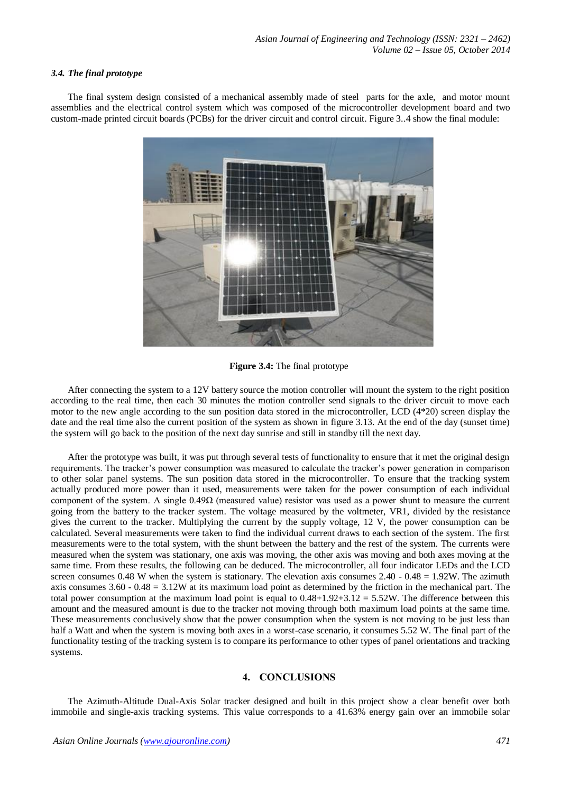#### *3.4. The final prototype*

The final system design consisted of a mechanical assembly made of steel parts for the axle, and motor mount assemblies and the electrical control system which was composed of the microcontroller development board and two custom-made printed circuit boards (PCBs) for the driver circuit and control circuit. Figure 3..4 show the final module:



**Figure 3.4:** The final prototype

After connecting the system to a 12V battery source the motion controller will mount the system to the right position according to the real time, then each 30 minutes the motion controller send signals to the driver circuit to move each motor to the new angle according to the sun position data stored in the microcontroller, LCD (4\*20) screen display the date and the real time also the current position of the system as shown in figure 3.13. At the end of the day (sunset time) the system will go back to the position of the next day sunrise and still in standby till the next day.

After the prototype was built, it was put through several tests of functionality to ensure that it met the original design requirements. The tracker's power consumption was measured to calculate the tracker's power generation in comparison to other solar panel systems. The sun position data stored in the microcontroller. To ensure that the tracking system actually produced more power than it used, measurements were taken for the power consumption of each individual component of the system. A single  $0.49\Omega$  (measured value) resistor was used as a power shunt to measure the current going from the battery to the tracker system. The voltage measured by the voltmeter, VR1, divided by the resistance gives the current to the tracker. Multiplying the current by the supply voltage, 12 V, the power consumption can be calculated. Several measurements were taken to find the individual current draws to each section of the system. The first measurements were to the total system, with the shunt between the battery and the rest of the system. The currents were measured when the system was stationary, one axis was moving, the other axis was moving and both axes moving at the same time. From these results, the following can be deduced. The microcontroller, all four indicator LEDs and the LCD screen consumes 0.48 W when the system is stationary. The elevation axis consumes 2.40 - 0.48 = 1.92W. The azimuth axis consumes  $3.60 - 0.48 = 3.12W$  at its maximum load point as determined by the friction in the mechanical part. The total power consumption at the maximum load point is equal to  $0.48+1.92+3.12 = 5.52W$ . The difference between this amount and the measured amount is due to the tracker not moving through both maximum load points at the same time. These measurements conclusively show that the power consumption when the system is not moving to be just less than half a Watt and when the system is moving both axes in a worst-case scenario, it consumes 5.52 W. The final part of the functionality testing of the tracking system is to compare its performance to other types of panel orientations and tracking systems.

# **4. CONCLUSIONS**

The Azimuth-Altitude Dual-Axis Solar tracker designed and built in this project show a clear benefit over both immobile and single-axis tracking systems. This value corresponds to a 41.63% energy gain over an immobile solar